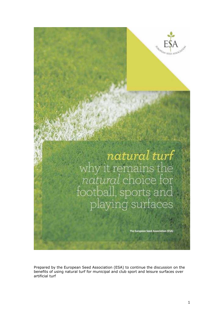

**natural turf**<br>why it remains the<br>*natural* choice for<br>football, sports and<br>playing surfaces

The European Seed Association (ESA)

Prepared by the European Seed Association (ESA) to continue the discussion on the benefits of using natural turf for municipal and club sport and leisure surfaces over artificial turf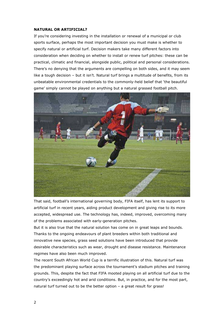#### **NATURAL OR ARTIFICIAL?**

If you're considering investing in the installation or renewal of a municipal or club sports surface, perhaps the most important decision you must make is whether to specify natural or artificial turf. Decision makers take many different factors into consideration when deciding on whether to install or renew turf pitches: these can be practical, climatic and financial, alongside public, political and personal considerations. There's no denying that the arguments are compelling on both sides, and it may seem like a tough decision – but it isn't. Natural turf brings a multitude of benefits, from its unbeatable environmental credentials to the commonly-held belief that 'the beautiful game' simply cannot be played on anything but a natural grassed football pitch.



That said, football's international governing body, FIFA itself, has lent its support to artificial turf in recent years, aiding product development and giving rise to its more accepted, widespread use. The technology has, indeed, improved, overcoming many of the problems associated with early-generation pitches.

But it is also true that the natural solution has come on in great leaps and bounds. Thanks to the ongoing endeavours of plant breeders within both traditional and innovative new species, grass seed solutions have been introduced that provide desirable characteristics such as wear, drought and disease resistance. Maintenance regimes have also been much improved.

The recent South African World Cup is a terrific illustration of this. Natural turf was the predominant playing surface across the tournament's stadium pitches and training grounds. This, despite the fact that FIFA mooted playing on all artificial turf due to the country's exceedingly hot and arid conditions. But, in practice, and for the most part, natural turf turned out to be the better option – a great result for grass!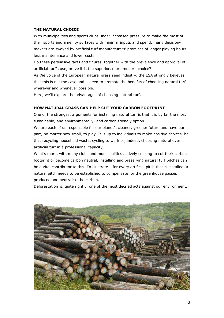#### **THE NATURAL CHOICE**

With municipalities and sports clubs under increased pressure to make the most of their sports and amenity surfaces with minimal inputs and spend, many decisionmakers are swayed by artificial turf manufacturers' promises of longer playing hours, less maintenance and lower costs.

Do these persuasive facts and figures, together with the prevalence and approval of artificial turf's use, prove it is the superior, more modern choice?

As *the* voice of the European natural grass seed industry, the ESA strongly believes that this is not the case and is keen to promote the benefits of choosing natural turf wherever and whenever possible.

Here, we'll explore the advantages of choosing natural turf.

#### **HOW NATURAL GRASS CAN HELP CUT YOUR CARBON FOOTPRINT**

One of the strongest arguments for installing natural turf is that it is by far the most sustainable, and environmentally- and carbon-friendly option.

We are each of us responsible for our planet's cleaner, greener future and have our part, no matter how small, to play. It is up to individuals to make positive choices, be that recycling household waste, cycling to work or, indeed, choosing natural over artificial turf in a professional capacity.

What's more, with many clubs and municipalities actively seeking to cut their carbon footprint or become carbon neutral, installing and preserving natural turf pitches can be a vital contributor to this. To illustrate – for every artificial pitch that is installed, a natural pitch needs to be established to compensate for the greenhouse gasses produced and neutralise the carbon.

Deforestation is, quite rightly, one of the most decried acts against our environment.

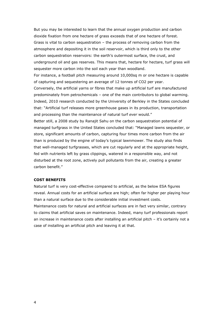But you may be interested to learn that the annual oxygen production and carbon dioxide fixation from one hectare of grass exceeds that of one hectare of forest. Grass is vital to carbon sequestration – the process of removing carbon from the atmosphere and depositing it in the soil reservoir, which is third only to the other carbon sequestration reservoirs: the earth's outermost surface, the crust, and underground oil and gas reserves. This means that, hectare for hectare, turf grass will sequester more carbon into the soil each year than woodland.

For instance, a football pitch measuring around 10,000sq m or one hectare is capable of capturing and sequestering an average of 12 tonnes of CO2 per year.

Conversely, the artificial yarns or fibres that make up artificial turf are manufactured predominately from petrochemicals – one of the main contributors to global warming. Indeed, 2010 research conducted by the University of Berkley in the States concluded that: "Artificial turf releases more greenhouse gases in its production, transportation and processing than the maintenance of natural turf *ever* would."

Better still, a 2008 study by Ranajit Sahu on the carbon sequestration potential of managed turfgrass in the United States concluded that: "Managed lawns sequester, or store, significant amounts of carbon, capturing four times more carbon from the air than is produced by the engine of today's typical lawnmower. The study also finds that well-managed turfgrasses, which are cut regularly and at the appropriate height, fed with nutrients left by grass clippings, watered in a responsible way, and not disturbed at the root zone, actively pull pollutants from the air, creating a greater carbon benefit."

#### **COST BENEFITS**

Natural turf is very cost-effective compared to artificial, as the below ESA figures reveal. Annual costs for an artificial surface are high; often far higher per playing hour than a natural surface due to the considerable initial investment costs. Maintenance costs for natural and artificial surfaces are in fact very similar, contrary to claims that artificial saves on maintenance. Indeed, many turf professionals report an increase in maintenance costs after installing an artificial pitch – it's certainly not a case of installing an artificial pitch and leaving it at that.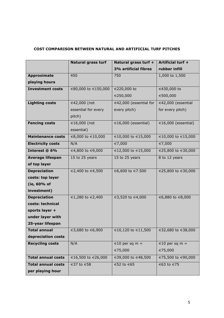# **COST COMPARISON BETWEEN NATURAL AND ARTIFICIAL TURF PITCHES**

|                           | <b>Natural grass turf</b> | Natural grass turf +   | Artificial turf +        |
|---------------------------|---------------------------|------------------------|--------------------------|
|                           |                           | 3% artificial fibres   | rubber infill            |
| <b>Approximate</b>        | 450                       | 750                    | 1,000 to 1,500           |
| playing hours             |                           |                        |                          |
| <b>Investment costs</b>   | €80,000 to €150,000       | €220,000 to            | €430,000 to              |
|                           |                           | €250,000               | €500,000                 |
| <b>Lighting costs</b>     | €42,000 (not              | €42,000 (essential for | €42,000 (essential       |
|                           | essential for every       | every pitch)           | for every pitch)         |
|                           | pitch)                    |                        |                          |
| <b>Fencing costs</b>      | €16,000 (not              | €16,000 (essential)    | $\in$ 16,000 (essential) |
|                           | essential)                |                        |                          |
| <b>Maintenance costs</b>  | €8,000 to €10,000         | €10,000 to €15,000     | €10,000 to €15,000       |
| <b>Electricity costs</b>  | N/A                       | €7,000                 | €7,000                   |
| Interest @ 6%             | €4,800 to €9,000          | €12,000 to €15,000     | €25,800 to €30,000       |
| <b>Average lifespan</b>   | 15 to 25 years            | 15 to 25 years         | 8 to 12 years            |
| of top layer              |                           |                        |                          |
| <b>Depreciation</b>       | €2,400 to €4,500          | €6,600 to €7.500       | €25,800 to €30,000       |
| costs: top layer          |                           |                        |                          |
| (ie, 60% of               |                           |                        |                          |
| investment)               |                           |                        |                          |
| <b>Depreciation</b>       | €1,280 to €2,400          | €3,520 to €4,000       | €6,880 to €8,000         |
| costs: technical          |                           |                        |                          |
| sports layer +            |                           |                        |                          |
| under layer with          |                           |                        |                          |
| 25-year lifespan          |                           |                        |                          |
| Total annual              | €3,680 to €6,900          | €10,120 to €11,500     | €32,680 to €38,000       |
| depreciation costs        |                           |                        |                          |
| <b>Recycling costs</b>    | N/A                       | $€10$ per sq m =       | €10 per sq m =           |
|                           |                           | €75,000                | €75,000                  |
| <b>Total annual costs</b> | €16,500 to €26,000        | €39,000 to €48,500     | €75,500 to €90,000       |
| <b>Total annual costs</b> | €37 to €58                | €52 to €65             | €63 to €75               |
| per playing hour          |                           |                        |                          |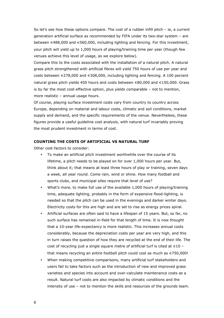So let's see how these options compare. The cost of a rubber infill pitch – ie, a current generation artificial surface as recommended by FIFA under its two-star system – are between €488,000 and €560,000, including lighting and fencing. For this investment, your pitch will yield up to 1,000 hours of playing/training time per year (though few venues achieve this level of usage, as we explore below).

Compare this to the costs associated with the installation of a natural pitch. A natural grass pitch strengthened with artificial fibres will yield 750 hours of use per year and costs between €278,000 and €308,000, including lighting and fencing. A 100 percent natural grass pitch yields 450 hours and costs between €80,000 and €150,000. Grass is by far the most cost-effective option, plus yields comparable – not to mention, more realistic – annual usage hours.

Of course, playing surface investment costs vary from country to country across Europe, depending on material and labour costs, climatic and soil conditions, market supply and demand, and the specific requirements of the venue. Nevertheless, these figures provide a useful guideline cost analysis, with natural turf invariably proving the most prudent investment in terms of cost.

#### **COUNTING THE COSTS OF ARTIFICIAL VS NATURAL TURF**

Other cost-factors to consider:

- To make an artificial pitch investment worthwhile over the course of its lifetime, a pitch needs to be played on for over 1,000 hours per year. But, think about it; that means at least three hours of play or training, seven days a week, all year round. Come rain, wind or shine. How many football and sports clubs, and municipal sites require that level of use?
- What's more, to make full use of the available 1,000 hours of playing/training time, adequate lighting, probably in the form of expensive flood-lighting, is needed so that the pitch can be used in the evenings and darker winter days. Electricity costs for this are high and are set to rise as energy prices spiral.
- Artificial surfaces are often said to have a lifespan of 15 years. But, so far, no such surface has remained in-field for that length of time. It is now thought that a 10-year life-expectancy is more realistic. This increases annual costs considerably, because the depreciation costs per year are very high, and this in turn raises the question of how they are recycled at the end of their life. The cost of recycling just a single square metre of artificial turf is cited at  $\in$ 10 – that means recycling an entire football pitch could cost as much as  $\epsilon$ 750,000!
- When making competitive comparisons, many artificial turf stakeholders and users fail to take factors such as the introduction of new and improved grass varieties and species into account and over-calculate maintenance costs as a result. Natural turf costs are also impacted by climatic conditions and the intensity of use – not to mention the skills and resources of the grounds team.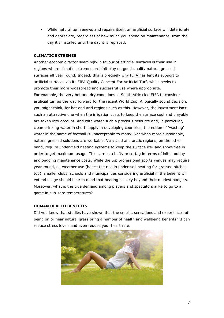• While natural turf renews and repairs itself, an artificial surface will deteriorate and depreciate, regardless of how much you spend on maintenance, from the day it's installed until the day it is replaced.

# **CLIMATIC EXTREMES**

Another economic factor seemingly in favour of artificial surfaces is their use in regions where climatic extremes prohibit play on good-quality natural grassed surfaces all year round. Indeed, this is precisely why FIFA has lent its support to artificial surfaces via its FIFA Quality Concept For Artificial Turf, which seeks to promote their more widespread and successful use where appropriate. For example, the very hot and dry conditions in South Africa led FIFA to consider artificial turf as the way forward for the recent World Cup. A logically sound decision, you might think, for hot and arid regions such as this. However, the investment isn't such an attractive one when the irrigation costs to keep the surface cool and playable are taken into account. And with water such a precious resource and, in particular, clean drinking water in short supply in developing countries, the notion of 'wasting' water in the name of football is unacceptable to many. Not when more sustainable, natural grassed solutions are workable. Very cold and arctic regions, on the other hand, require under-field heating systems to keep the surface ice- and snow-free in order to get maximum usage. This carries a hefty price-tag in terms of initial outlay and ongoing maintenance costs. While the top professional sports venues may require year-round, all-weather use (hence the rise in under-soil heating for grassed pitches too), smaller clubs, schools and municipalities considering artificial in the belief it will extend usage should bear in mind that heating is likely beyond their modest budgets. Moreover, what is the true demand among players and spectators alike to go to a game in sub-zero temperatures?

#### **HUMAN HEALTH BENEFITS**

Did you know that studies have shown that the smells, sensations and experiences of being on or near natural grass bring a number of health and wellbeing benefits? It can reduce stress levels and even reduce your heart rate.

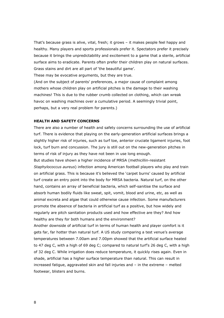That's because grass is alive, vital, fresh; it grows – it makes people feel happy and healthy. Many players and sports professionals prefer it. Spectators prefer it precisely because it brings the unpredictability and excitement to a game that a sterile, artificial surface aims to eradicate. Parents often prefer their children play on natural surfaces. Grass stains and dirt are all part of 'the beautiful game'.

These may be evocative arguments, but they are true.

(And on the subject of parents' preferences, a major cause of complaint among mothers whose children play on artificial pitches is the damage to their washing machines! This is due to the rubber crumb collected on clothing, which can wreak havoc on washing machines over a cumulative period. A seemingly trivial point, perhaps, but a very real problem for parents.)

#### **HEALTH AND SAFETY CONCERNS**

There are also a number of health and safety concerns surrounding the use of artificial turf. There is evidence that playing on the early-generation artificial surfaces brings a slightly higher risk of injuries, such as turf toe, anterior cruciate ligament injuries, foot lock, turf burn and concussion. The jury is still out on the new-generation pitches in terms of risk of injury as they have not been in use long enough.

But studies have shown a higher incidence of MRSA (methicillin-resistant *Staphylococcus aureus*) infection among American football players who play and train on artificial grass. This is because it's believed the 'carpet burns' caused by artificial turf create an entry point into the body for MRSA bacteria. Natural turf, on the other hand, contains an array of beneficial bacteria, which self-sanitise the surface and absorb human bodily fluids like sweat, spit, vomit, blood and urine, etc, as well as animal excreta and algae that could otherwise cause infection. Some manufacturers promote the absence of bacteria in artificial turf as a positive, but how widely and regularly are pitch sanitation products used and how effective are they? And how healthy are they for both humans and the environment?

Another downside of artificial turf in terms of human health and player comfort is it gets far, far hotter than natural turf. A US study comparing a test venue's average temperatures between 7.00am and 7.00pm showed that the artificial surface heated to 47 deg C, with a high of 69 deg C; compared to natural turf's 26 deg C, with a high of 32 deg C. While irrigation does reduce temperature, it quickly rises again. Even in shade, artificial has a higher surface temperature than natural. This can result in increased fatigue, aggravated skin and fall injuries and – in the extreme – melted footwear, blisters and burns.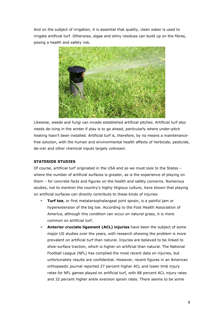And on the subject of irrigation, it is essential that quality, clean water is used to irrigate artificial turf. Otherwise, algae and slimy residues can build up on the fibres, posing a health and safety risk.



Likewise, weeds and fungi can invade established artificial pitches. Artificial turf also needs de-icing in the winter if play is to go ahead, particularly where under-pitch heating hasn't been installed. Artificial turf is, therefore, by no means a maintenancefree solution, with the human and environmental health affects of herbicide, pesticide, de-icer and other chemical inputs largely unknown.

# **STATESIDE STUDIES**

Of course, artificial turf originated in the USA and so we must look to the States – where the number of artificial surfaces is greater, as is the experience of playing on them – for concrete facts and figures on the health and safety concerns. Numerous studies, not to mention the country's highly litigious culture, have shown that playing on artificial surfaces can directly contribute to these kinds of injuries:

- **Turf toe**, or first metatarsophalangeal joint sprain, is a painful jam or hyperextension of the big toe. According to the Foot Health Association of America, although this condition can occur on natural grass, it is more common on artificial turf.
- **Anterior cruciate ligament (ACL) injuries** have been the subject of some major US studies over the years, with research showing the problem is more prevalent on artificial turf than natural. Injuries are believed to be linked to shoe-surface traction, which is higher on artificial than natural. The National Football League (NFL) has compiled the most recent data on injuries, but unfortunately results are confidential. However, recent figures in an American orthopaedic journal reported 27 percent higher ACL and lower limb injury rates for NFL games played on artificial turf, with 88 percent ACL injury rates and 32 percent higher ankle eversion sprain rates. There seems to be some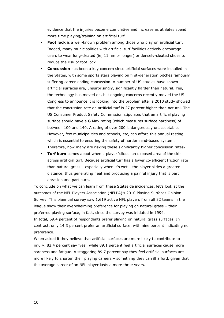evidence that the injuries become cumulative and increase as athletes spend more time playing/training on artificial turf.

- Foot lock is a well-known problem among those who play on artificial turf. Indeed, many municipalities with artificial turf facilities actively encourage users to wear long-cleated (ie, 11mm or longer) or densely-cleated shoes to reduce the risk of foot lock.
- **Concussion** has been a key concern since artificial surfaces were installed in the States, with some sports stars playing on first-generation pitches famously suffering career-ending concussion. A number of US studies have shown artificial surfaces are, unsurprisingly, significantly harder than natural. Yes, the technology has moved on, but ongoing concerns recently moved the US Congress to announce it is looking into the problem after a 2010 study showed that the concussion rate on artificial turf is 27 percent higher than natural. The US Consumer Product Safety Commission stipulates that an artificial playing surface should have a G Max rating (which measures surface hardness) of between 100 and 140. A rating of over 200 is dangerously unacceptable. However, few municipalities and schools, etc, can afford this annual testing, which is essential to ensuring the safety of harder sand-based system. Therefore, how many are risking these significantly higher concussion rates?
- **Turf burn** comes about when a player 'slides' an exposed area of the skin across artificial turf. Because artificial turf has a lower co-efficient friction rate than natural grass – especially when it's wet – the player slides a greater distance, thus generating heat and producing a painful injury that is part abrasion and part burn.

To conclude on what we can learn from these Stateside incidences, let's look at the outcomes of the NFL Players Association (NFLPA)'s 2010 Playing Surfaces Opinion Survey. This biannual survey saw 1,619 active NFL players from all 32 teams in the league show their overwhelming preference for playing on natural grass – their preferred playing surface, in fact, since the survey was initiated in 1994. In total, 69.4 percent of respondents prefer playing on natural grass surfaces. In contrast, only 14.3 percent prefer an artificial surface, with nine percent indicating no preference.

When asked if they believe that artificial surfaces are more likely to contribute to injury, 82.4 percent say 'yes', while 89.1 percent feel artificial surfaces cause more soreness and fatigue. A staggering 89.7 percent say they feel artificial surfaces are more likely to shorten their playing careers – something they can ill afford, given that the average career of an NFL player lasts a mere three years.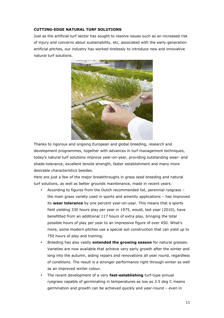#### **CUTTING-EDGE NATURAL TURF SOLUTIONS**

Just as the artificial turf sector has sought to resolve issues such as an increased risk of injury and concerns about sustainability, etc, associated with the early-generation artificial pitches, our industry has worked tirelessly to introduce new and innovative natural turf solutions.



Thanks to rigorous and ongoing European and global breeding, research and development programmes, together with advances in turf management techniques, today's natural turf solutions improve year-on-year, providing outstanding wear- and shade-tolerance, excellent tensile strength, faster establishment and many more desirable characteristics besides.

Here are just a few of the major breakthroughs in grass seed breeding and natural turf solutions, as well as better grounds maintenance, made in recent years:

- According to figures from the Dutch recommended list, perennial ryegrass the main grass variety used in sports and amenity applications – has improved its **wear tolerance** by one percent year-on-year. This means that a sports field yielding 330 hours play per year in 1975, would, last year (2010), have benefitted from an additional 117 hours of extra play, bringing the total possible hours of play per year to an impressive figure of over 450. What's more, some modern pitches use a special soil construction that can yield up to 750 hours of play and training.
- Breeding has also vastly **extended the growing season** for natural grasses. Varieties are now available that achieve very early growth after the winter and long into the autumn, aiding repairs and renovations all year round, regardless of conditions. The result is a stronger performance right through winter as well as an improved winter colour.
- The recent development of a very **fast-establishing** turf-type annual ryegrass capable of germinating in temperatures as low as 3.5 deg C means germination and growth can be achieved quickly and year-round – even in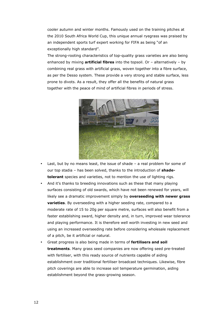cooler autumn and winter months. Famously used on the training pitches at the 2010 South Africa World Cup, this unique annual ryegrass was praised by an independent sports turf expert working for FIFA as being "of an exceptionally high standard".

The strong-rooting characteristics of top-quality grass varieties are also being enhanced by mixing **artificial fibres** into the topsoil. Or – alternatively – by combining real grass with artificial grass, woven together into a fibre surface, as per the Desso system. These provide a very strong and stable surface, less prone to divots. As a result, they offer all the benefits of natural grass together with the peace of mind of artificial fibres in periods of stress.



- Last, but by no means least, the issue of shade a real problem for some of our top stadia – has been solved, thanks to the introduction of **shadetolerant** species and varieties, not to mention the use of lighting rigs.
- And it's thanks to breeding innovations such as these that many playing surfaces consisting of old swards, which have not been renewed for years, will likely see a dramatic improvement simply by **overseeding with newer grass varieties**. By overseeding with a higher seeding rate, compared to a moderate rate of 15 to 20g per square metre, surfaces will also benefit from a faster establishing sward, higher density and, in turn, improved wear tolerance and playing performance. It is therefore well worth investing in new seed and using an increased overseeding rate before considering wholesale replacement of a pitch, be it artificial or natural.
- Great progress is also being made in terms of **fertilisers and soil treatments**. Many grass seed companies are now offering seed pre-treated with fertiliser, with this ready source of nutrients capable of aiding establishment over traditional fertiliser broadcast techniques. Likewise, fibre pitch coverings are able to increase soil temperature germination, aiding establishment beyond the grass-growing season.